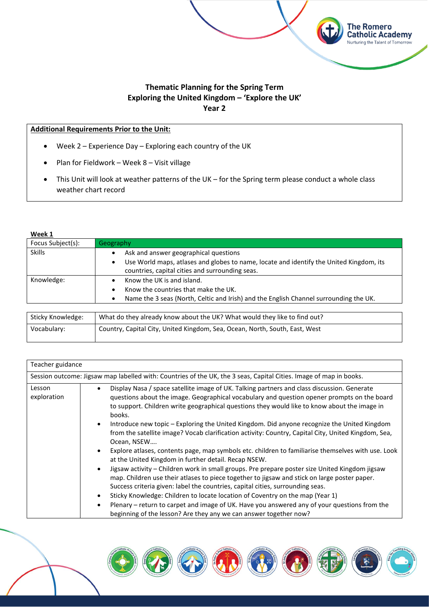

**The Romero Catholic Academy** Nurturing the Talent of Tomorrow

### **Additional Requirements Prior to the Unit:**

- Week 2 Experience Day Exploring each country of the UK
- Plan for Fieldwork Week 8 Visit village
- This Unit will look at weather patterns of the UK for the Spring term please conduct a whole class weather chart record

#### **Week 1**

| Focus Subject(s): | Geography                                                                                                                                                                                             |
|-------------------|-------------------------------------------------------------------------------------------------------------------------------------------------------------------------------------------------------|
| <b>Skills</b>     | Ask and answer geographical questions<br>٠<br>Use World maps, atlases and globes to name, locate and identify the United Kingdom, its<br>$\bullet$<br>countries, capital cities and surrounding seas. |
| Knowledge:        | Know the UK is and island.<br>Know the countries that make the UK.<br>٠<br>Name the 3 seas (North, Celtic and Irish) and the English Channel surrounding the UK.                                      |

| Sticky Knowledge: | What do they already know about the UK? What would they like to find out?   |
|-------------------|-----------------------------------------------------------------------------|
| Vocabulary:       | Gountry, Capital City, United Kingdom, Sea, Ocean, North, South, East, West |

| Teacher guidance      |                                                                                                                                                                                                                                                                                                                                                                                                                                                                                                                                                                               |
|-----------------------|-------------------------------------------------------------------------------------------------------------------------------------------------------------------------------------------------------------------------------------------------------------------------------------------------------------------------------------------------------------------------------------------------------------------------------------------------------------------------------------------------------------------------------------------------------------------------------|
|                       | Session outcome: Jigsaw map labelled with: Countries of the UK, the 3 seas, Capital Cities. Image of map in books.                                                                                                                                                                                                                                                                                                                                                                                                                                                            |
| Lesson<br>exploration | Display Nasa / space satellite image of UK. Talking partners and class discussion. Generate<br>$\bullet$<br>questions about the image. Geographical vocabulary and question opener prompts on the board<br>to support. Children write geographical questions they would like to know about the image in<br>books.<br>Introduce new topic - Exploring the United Kingdom. Did anyone recognize the United Kingdom<br>$\bullet$                                                                                                                                                 |
|                       | from the satellite image? Vocab clarification activity: Country, Capital City, United Kingdom, Sea,<br>Ocean, NSEW<br>Explore atlases, contents page, map symbols etc. children to familiarise themselves with use. Look<br>$\bullet$<br>at the United Kingdom in further detail. Recap NSEW.                                                                                                                                                                                                                                                                                 |
|                       | Jigsaw activity - Children work in small groups. Pre prepare poster size United Kingdom jigsaw<br>$\bullet$<br>map. Children use their atlases to piece together to jigsaw and stick on large poster paper.<br>Success criteria given: label the countries, capital cities, surrounding seas.<br>Sticky Knowledge: Children to locate location of Coventry on the map (Year 1)<br>$\bullet$<br>Plenary – return to carpet and image of UK. Have you answered any of your questions from the<br>$\bullet$<br>beginning of the lesson? Are they any we can answer together now? |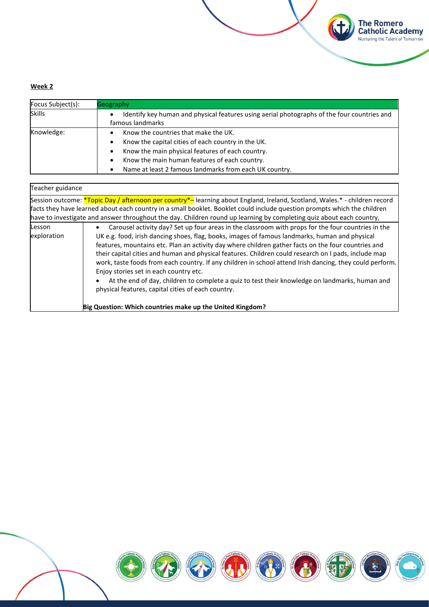| Focus Subject(s): | Geography                                                                                                                                                                                                                                                           |
|-------------------|---------------------------------------------------------------------------------------------------------------------------------------------------------------------------------------------------------------------------------------------------------------------|
| <b>Skills</b>     | Identify key human and physical features using aerial photographs of the four countries and<br>famous landmarks                                                                                                                                                     |
| Knowledge:        | Know the countries that make the UK.<br>Know the capital cities of each country in the UK.<br>٠<br>Know the main physical features of each country.<br>٠<br>Know the main human features of each country.<br>Name at least 2 famous landmarks from each UK country. |

**The Romero<br>Catholic Academy**<br>Nurturing the Talent of Tomorrow

(土

| Teacher guidance                                                                                                                                                                                                                                                                                                                                                                                                                                                                                                                                                                                                                                                                                                                                                                                                        |
|-------------------------------------------------------------------------------------------------------------------------------------------------------------------------------------------------------------------------------------------------------------------------------------------------------------------------------------------------------------------------------------------------------------------------------------------------------------------------------------------------------------------------------------------------------------------------------------------------------------------------------------------------------------------------------------------------------------------------------------------------------------------------------------------------------------------------|
| Session outcome: <i>*Topic Day / afternoon per country*</i> -learning about England, Ireland, Scotland, Wales.* - children record<br>facts they have learned about each country in a small booklet. Booklet could include question prompts which the children<br>have to investigate and answer throughout the day. Children round up learning by completing quiz about each country,                                                                                                                                                                                                                                                                                                                                                                                                                                   |
| Carousel activity day? Set up four areas in the classroom with props for the four countries in the<br>Lesson<br>exploration<br>UK e.g. food, irish dancing shoes, flag, books, images of famous landmarks, human and physical<br>features, mountains etc. Plan an activity day where children gather facts on the four countries and<br>their capital cities and human and physical features. Children could research on I pads, include map<br>work, taste foods from each country. If any children in school attend Irish dancing, they could perform.<br>Enjoy stories set in each country etc.<br>At the end of day, children to complete a quiz to test their knowledge on landmarks, human and<br>physical features, capital cities of each country.<br>Big Question: Which countries make up the United Kingdom? |

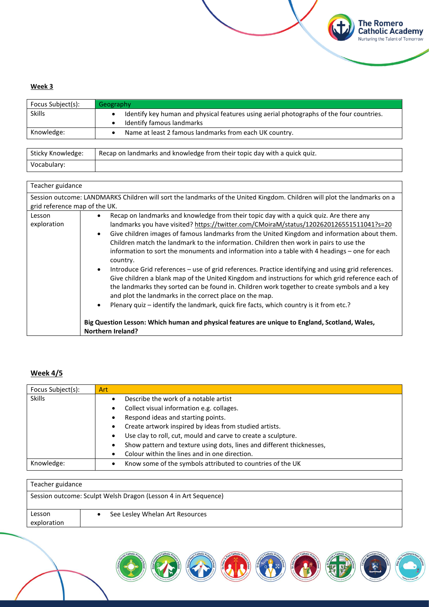| Focus Subject(s): | Geography                                                                                                             |
|-------------------|-----------------------------------------------------------------------------------------------------------------------|
| <b>Skills</b>     | Identify key human and physical features using aerial photographs of the four countries.<br>Identify famous landmarks |
| Knowledge:        | Name at least 2 famous landmarks from each UK country.                                                                |

**The Romero<br>Catholic Academy**<br>Nurturing the Talent of Tomorrow

**A** 

| Sticky Knowledge: | Recap on landmarks and knowledge from their topic day with a quick quiz. |
|-------------------|--------------------------------------------------------------------------|
| Vocabulary:       |                                                                          |

| Teacher guidance              |                                                                                                                                                                                                                                                                                                                                                                                   |
|-------------------------------|-----------------------------------------------------------------------------------------------------------------------------------------------------------------------------------------------------------------------------------------------------------------------------------------------------------------------------------------------------------------------------------|
| grid reference map of the UK. | Session outcome: LANDMARKS Children will sort the landmarks of the United Kingdom. Children will plot the landmarks on a                                                                                                                                                                                                                                                          |
|                               |                                                                                                                                                                                                                                                                                                                                                                                   |
| Lesson                        | Recap on landmarks and knowledge from their topic day with a quick quiz. Are there any<br>$\bullet$                                                                                                                                                                                                                                                                               |
| exploration                   | landmarks you have visited? https://twitter.com/CMoiraM/status/1202620126551511041?s=20                                                                                                                                                                                                                                                                                           |
|                               | Give children images of famous landmarks from the United Kingdom and information about them.<br>$\bullet$                                                                                                                                                                                                                                                                         |
|                               | Children match the landmark to the information. Children then work in pairs to use the                                                                                                                                                                                                                                                                                            |
|                               | information to sort the monuments and information into a table with 4 headings - one for each<br>country.                                                                                                                                                                                                                                                                         |
|                               | Introduce Grid references - use of grid references. Practice identifying and using grid references.<br>$\bullet$<br>Give children a blank map of the United Kingdom and instructions for which grid reference each of<br>the landmarks they sorted can be found in. Children work together to create symbols and a key<br>and plot the landmarks in the correct place on the map. |
|                               | Plenary quiz – identify the landmark, quick fire facts, which country is it from etc.?<br>$\bullet$                                                                                                                                                                                                                                                                               |
|                               | Big Question Lesson: Which human and physical features are unique to England, Scotland, Wales,<br><b>Northern Ireland?</b>                                                                                                                                                                                                                                                        |

## **Week 4/5**

| Focus Subject(s): | <b>Art</b>                                                            |
|-------------------|-----------------------------------------------------------------------|
| <b>Skills</b>     | Describe the work of a notable artist                                 |
|                   | Collect visual information e.g. collages.<br>٠                        |
|                   | Respond ideas and starting points.                                    |
|                   | Create artwork inspired by ideas from studied artists.<br>٠           |
|                   | Use clay to roll, cut, mould and carve to create a sculpture.<br>٠    |
|                   | Show pattern and texture using dots, lines and different thicknesses, |
|                   | Colour within the lines and in one direction.                         |
| Knowledge:        | Know some of the symbols attributed to countries of the UK            |

| Teacher guidance                                                |                                 |
|-----------------------------------------------------------------|---------------------------------|
| Session outcome: Sculpt Welsh Dragon (Lesson 4 in Art Sequence) |                                 |
| Lesson<br>exploration                                           | See Lesley Whelan Art Resources |

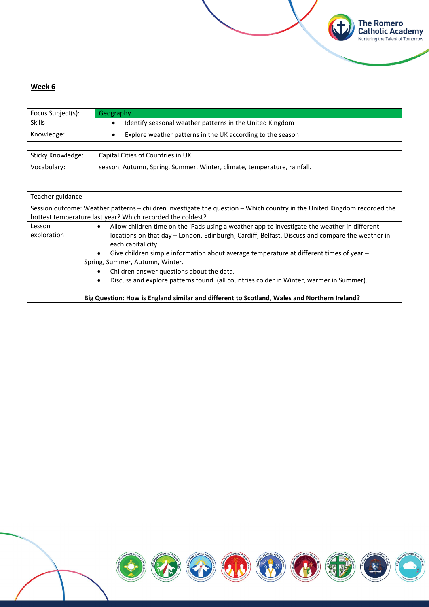

| Focus Subject(s):          | Geography                                                  |
|----------------------------|------------------------------------------------------------|
| <b>Skills</b>              | Identify seasonal weather patterns in the United Kingdom   |
| Knowledge:                 | Explore weather patterns in the UK according to the season |
|                            |                                                            |
| المعامدان بممالك بالمثلثات | Control Citizen of Conversion to LIV                       |

**The Romero<br>Catholic Academy**<br>Nurturing the Talent of Tomorrow

(中

| Sticky Knowledge: | Capital Cities of Countries in UK                                       |
|-------------------|-------------------------------------------------------------------------|
| Vocabulary:       | season, Autumn, Spring, Summer, Winter, climate, temperature, rainfall. |

| Teacher guidance                                                  |                                                                                                                                                                                                                                                                                                                                                                                                                                                                                                                                                                                            |
|-------------------------------------------------------------------|--------------------------------------------------------------------------------------------------------------------------------------------------------------------------------------------------------------------------------------------------------------------------------------------------------------------------------------------------------------------------------------------------------------------------------------------------------------------------------------------------------------------------------------------------------------------------------------------|
|                                                                   | Session outcome: Weather patterns - children investigate the question - Which country in the United Kingdom recorded the                                                                                                                                                                                                                                                                                                                                                                                                                                                                   |
|                                                                   | hottest temperature last year? Which recorded the coldest?                                                                                                                                                                                                                                                                                                                                                                                                                                                                                                                                 |
| Lesson<br>$\bullet$<br>exploration<br>$\bullet$<br>٠<br>$\bullet$ | Allow children time on the iPads using a weather app to investigate the weather in different<br>locations on that day – London, Edinburgh, Cardiff, Belfast. Discuss and compare the weather in<br>each capital city.<br>Give children simple information about average temperature at different times of year –<br>Spring, Summer, Autumn, Winter.<br>Children answer questions about the data.<br>Discuss and explore patterns found. (all countries colder in Winter, warmer in Summer).<br>Big Question: How is England similar and different to Scotland, Wales and Northern Ireland? |

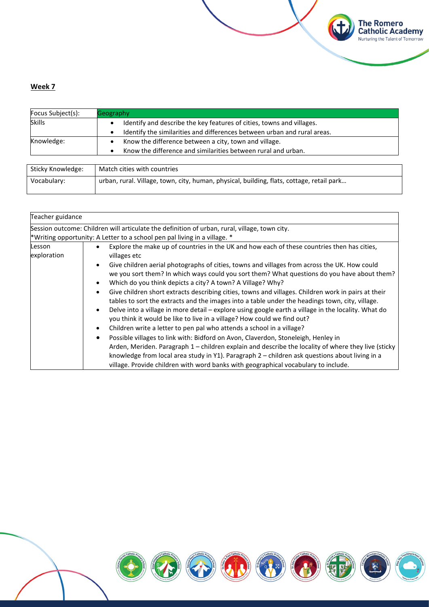| Focus Subject(s): | Geography                                                                             |
|-------------------|---------------------------------------------------------------------------------------|
| <b>Skills</b>     | Identify and describe the key features of cities, towns and villages.                 |
|                   | Identify the similarities and differences between urban and rural areas.<br>$\bullet$ |
| Knowledge:        | Know the difference between a city, town and village.<br>$\bullet$                    |
|                   | Know the difference and similarities between rural and urban.<br>$\bullet$            |
|                   |                                                                                       |
| Sticky Knowledge: | Match cities with countries                                                           |

**The Romero<br>Catholic Academy**<br>Nurturing the Talent of Tomorrow

Vocabulary: urban, rural. Village, town, city, human, physical, building, flats, cottage, retail park…

| Teacher guidance                                                                                                                                                                                                                                                                                                                                                                                                                                                                                                                                                                                                                                                                                                                                                                                                                                                                                                                                                                                                                                                                                                                            |
|---------------------------------------------------------------------------------------------------------------------------------------------------------------------------------------------------------------------------------------------------------------------------------------------------------------------------------------------------------------------------------------------------------------------------------------------------------------------------------------------------------------------------------------------------------------------------------------------------------------------------------------------------------------------------------------------------------------------------------------------------------------------------------------------------------------------------------------------------------------------------------------------------------------------------------------------------------------------------------------------------------------------------------------------------------------------------------------------------------------------------------------------|
| Session outcome: Children will articulate the definition of urban, rural, village, town city.                                                                                                                                                                                                                                                                                                                                                                                                                                                                                                                                                                                                                                                                                                                                                                                                                                                                                                                                                                                                                                               |
| *Writing opportunity: A Letter to a school pen pal living in a village. *                                                                                                                                                                                                                                                                                                                                                                                                                                                                                                                                                                                                                                                                                                                                                                                                                                                                                                                                                                                                                                                                   |
| Explore the make up of countries in the UK and how each of these countries then has cities,<br>villages etc<br>Give children aerial photographs of cities, towns and villages from across the UK. How could<br>we you sort them? In which ways could you sort them? What questions do you have about them?<br>Which do you think depicts a city? A town? A Village? Why?<br>Give children short extracts describing cities, towns and villages. Children work in pairs at their<br>tables to sort the extracts and the images into a table under the headings town, city, village.<br>Delve into a village in more detail - explore using google earth a village in the locality. What do<br>you think it would be like to live in a village? How could we find out?<br>Children write a letter to pen pal who attends a school in a village?<br>Possible villages to link with: Bidford on Avon, Claverdon, Stoneleigh, Henley in<br>Arden, Meriden. Paragraph 1 - children explain and describe the locality of where they live (sticky<br>knowledge from local area study in Y1). Paragraph 2 - children ask questions about living in a |
|                                                                                                                                                                                                                                                                                                                                                                                                                                                                                                                                                                                                                                                                                                                                                                                                                                                                                                                                                                                                                                                                                                                                             |

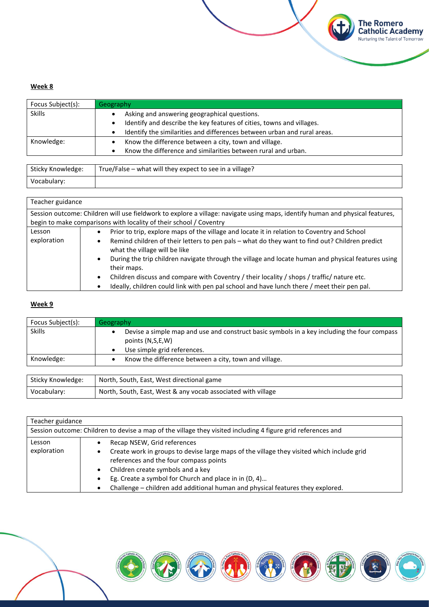| Focus Subject(s): | Geography                                                                |
|-------------------|--------------------------------------------------------------------------|
| <b>Skills</b>     | Asking and answering geographical questions.                             |
|                   | Identify and describe the key features of cities, towns and villages.    |
|                   | Identify the similarities and differences between urban and rural areas. |
| Knowledge:        | Know the difference between a city, town and village.                    |
|                   | Know the difference and similarities between rural and urban.            |
|                   |                                                                          |

**The Romero<br>Catholic Academy**<br>Nurturing the Talent of Tomorrow

**CH** 

| Sticky Knowledge: | True/False – what will they expect to see in a village? |
|-------------------|---------------------------------------------------------|
| Vocabulary:       |                                                         |

| Teacher guidance      |                                                                                                                                                                                                                                                                                                                                                                                                                                                                                                                                                                              |
|-----------------------|------------------------------------------------------------------------------------------------------------------------------------------------------------------------------------------------------------------------------------------------------------------------------------------------------------------------------------------------------------------------------------------------------------------------------------------------------------------------------------------------------------------------------------------------------------------------------|
|                       | Session outcome: Children will use fieldwork to explore a village: navigate using maps, identify human and physical features,<br>begin to make comparisons with locality of their school / Coventry                                                                                                                                                                                                                                                                                                                                                                          |
| Lesson<br>exploration | Prior to trip, explore maps of the village and locate it in relation to Coventry and School<br>٠<br>Remind children of their letters to pen pals - what do they want to find out? Children predict<br>٠<br>what the village will be like<br>During the trip children navigate through the village and locate human and physical features using<br>$\bullet$<br>their maps.<br>Children discuss and compare with Coventry / their locality / shops / traffic/ nature etc.<br>٠<br>Ideally, children could link with pen pal school and have lunch there / meet their pen pal. |

### **Week 9**

| Focus Subject(s): | Geography                                                                                                                                      |
|-------------------|------------------------------------------------------------------------------------------------------------------------------------------------|
| <b>Skills</b>     | Devise a simple map and use and construct basic symbols in a key including the four compass<br>points (N,S,E,W)<br>Use simple grid references. |
| Knowledge:        | Know the difference between a city, town and village.                                                                                          |

| Sticky Knowledge: | North, South, East, West directional game                    |
|-------------------|--------------------------------------------------------------|
| Vocabulary:       | North, South, East, West & any vocab associated with village |

| Teacher guidance |                                                                                                                                     |  |
|------------------|-------------------------------------------------------------------------------------------------------------------------------------|--|
|                  | Session outcome: Children to devise a map of the village they visited including 4 figure grid references and                        |  |
| Lesson           | Recap NSEW, Grid references                                                                                                         |  |
| exploration      | Create work in groups to devise large maps of the village they visited which include grid<br>references and the four compass points |  |
|                  | Children create symbols and a key                                                                                                   |  |
|                  | Eg. Create a symbol for Church and place in in (D, 4)                                                                               |  |
|                  | Challenge - children add additional human and physical features they explored.                                                      |  |